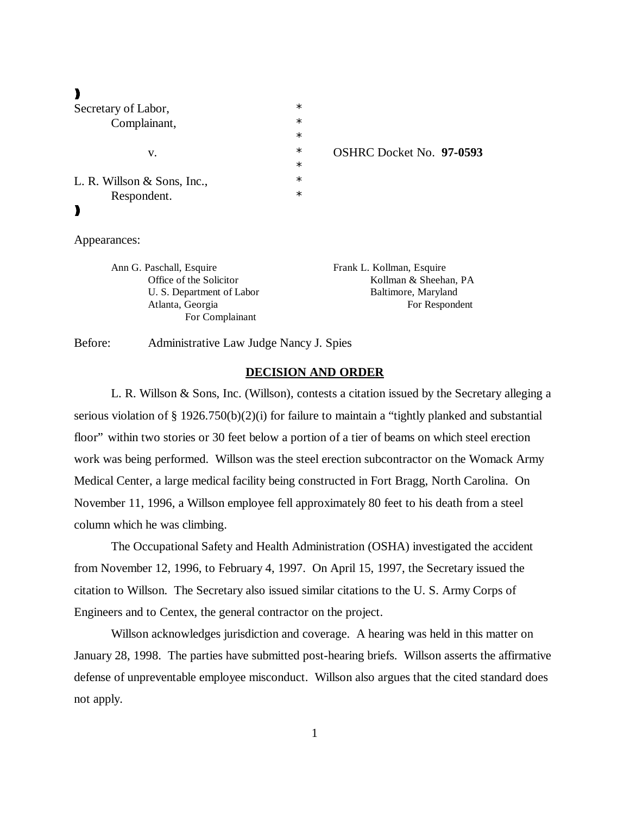| Secretary of Labor,         | $\ast$ |                          |
|-----------------------------|--------|--------------------------|
| Complainant,<br>V.          | $\ast$ |                          |
|                             | $\ast$ |                          |
|                             | $\ast$ | OSHRC Docket No. 97-0593 |
|                             | $\ast$ |                          |
| L. R. Willson & Sons, Inc., | $\ast$ |                          |
| Respondent.                 | $\ast$ |                          |
|                             |        |                          |
|                             |        |                          |
| Appearances:                |        |                          |
|                             |        |                          |

Ann G. Paschall, Esquire Frank L. Kollman, Esquire Office of the Solicitor Kollman & Sheehan, PA U. S. Department of Labor Baltimore, Maryland Atlanta, Georgia For Respondent For Complainant

Before: Administrative Law Judge Nancy J. Spies

## **DECISION AND ORDER**

L. R. Willson & Sons, Inc. (Willson), contests a citation issued by the Secretary alleging a serious violation of § 1926.750(b)(2)(i) for failure to maintain a "tightly planked and substantial floor" within two stories or 30 feet below a portion of a tier of beams on which steel erection work was being performed. Willson was the steel erection subcontractor on the Womack Army Medical Center, a large medical facility being constructed in Fort Bragg, North Carolina. On November 11, 1996, a Willson employee fell approximately 80 feet to his death from a steel column which he was climbing.

The Occupational Safety and Health Administration (OSHA) investigated the accident from November 12, 1996, to February 4, 1997. On April 15, 1997, the Secretary issued the citation to Willson. The Secretary also issued similar citations to the U. S. Army Corps of Engineers and to Centex, the general contractor on the project.

Willson acknowledges jurisdiction and coverage. A hearing was held in this matter on January 28, 1998. The parties have submitted post-hearing briefs. Willson asserts the affirmative defense of unpreventable employee misconduct. Willson also argues that the cited standard does not apply.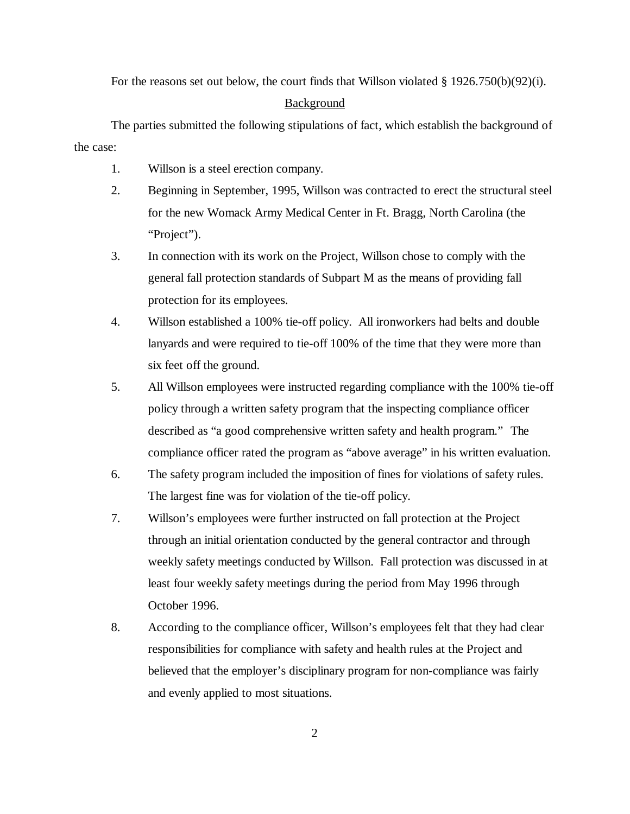For the reasons set out below, the court finds that Willson violated § 1926.750(b)(92)(i).

#### Background

The parties submitted the following stipulations of fact, which establish the background of the case:

- 1. Willson is a steel erection company.
- 2. Beginning in September, 1995, Willson was contracted to erect the structural steel for the new Womack Army Medical Center in Ft. Bragg, North Carolina (the "Project").
- 3. In connection with its work on the Project, Willson chose to comply with the general fall protection standards of Subpart M as the means of providing fall protection for its employees.
- 4. Willson established a 100% tie-off policy. All ironworkers had belts and double lanyards and were required to tie-off 100% of the time that they were more than six feet off the ground.
- 5. All Willson employees were instructed regarding compliance with the 100% tie-off policy through a written safety program that the inspecting compliance officer described as "a good comprehensive written safety and health program." The compliance officer rated the program as "above average" in his written evaluation.
- 6. The safety program included the imposition of fines for violations of safety rules. The largest fine was for violation of the tie-off policy.
- 7. Willson's employees were further instructed on fall protection at the Project through an initial orientation conducted by the general contractor and through weekly safety meetings conducted by Willson. Fall protection was discussed in at least four weekly safety meetings during the period from May 1996 through October 1996.
- 8. According to the compliance officer, Willson's employees felt that they had clear responsibilities for compliance with safety and health rules at the Project and believed that the employer's disciplinary program for non-compliance was fairly and evenly applied to most situations.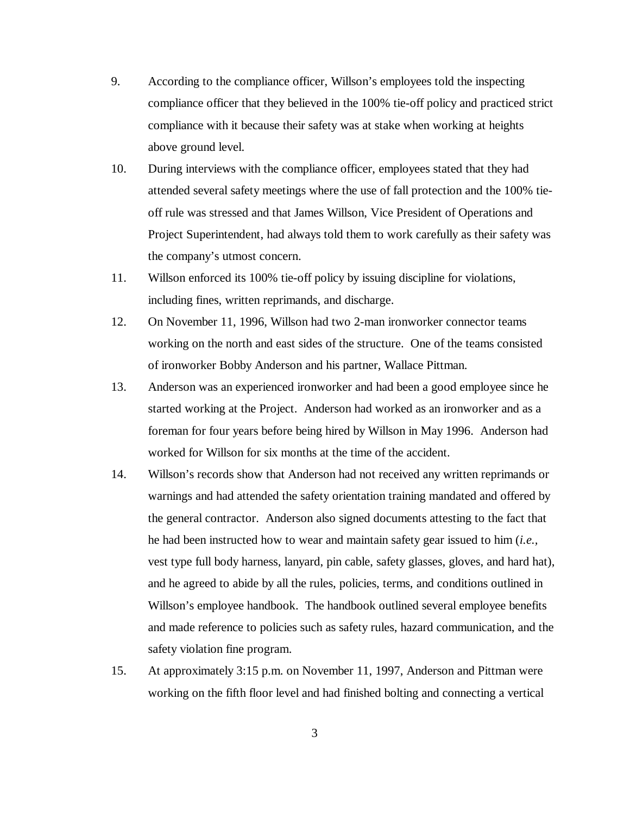- 9. According to the compliance officer, Willson's employees told the inspecting compliance officer that they believed in the 100% tie-off policy and practiced strict compliance with it because their safety was at stake when working at heights above ground level.
- 10. During interviews with the compliance officer, employees stated that they had attended several safety meetings where the use of fall protection and the 100% tieoff rule was stressed and that James Willson, Vice President of Operations and Project Superintendent, had always told them to work carefully as their safety was the company's utmost concern.
- 11. Willson enforced its 100% tie-off policy by issuing discipline for violations, including fines, written reprimands, and discharge.
- 12. On November 11, 1996, Willson had two 2-man ironworker connector teams working on the north and east sides of the structure. One of the teams consisted of ironworker Bobby Anderson and his partner, Wallace Pittman.
- 13. Anderson was an experienced ironworker and had been a good employee since he started working at the Project. Anderson had worked as an ironworker and as a foreman for four years before being hired by Willson in May 1996. Anderson had worked for Willson for six months at the time of the accident.
- 14. Willson's records show that Anderson had not received any written reprimands or warnings and had attended the safety orientation training mandated and offered by the general contractor. Anderson also signed documents attesting to the fact that he had been instructed how to wear and maintain safety gear issued to him (*i.e.,* vest type full body harness, lanyard, pin cable, safety glasses, gloves, and hard hat), and he agreed to abide by all the rules, policies, terms, and conditions outlined in Willson's employee handbook. The handbook outlined several employee benefits and made reference to policies such as safety rules, hazard communication, and the safety violation fine program.
- 15. At approximately 3:15 p.m. on November 11, 1997, Anderson and Pittman were working on the fifth floor level and had finished bolting and connecting a vertical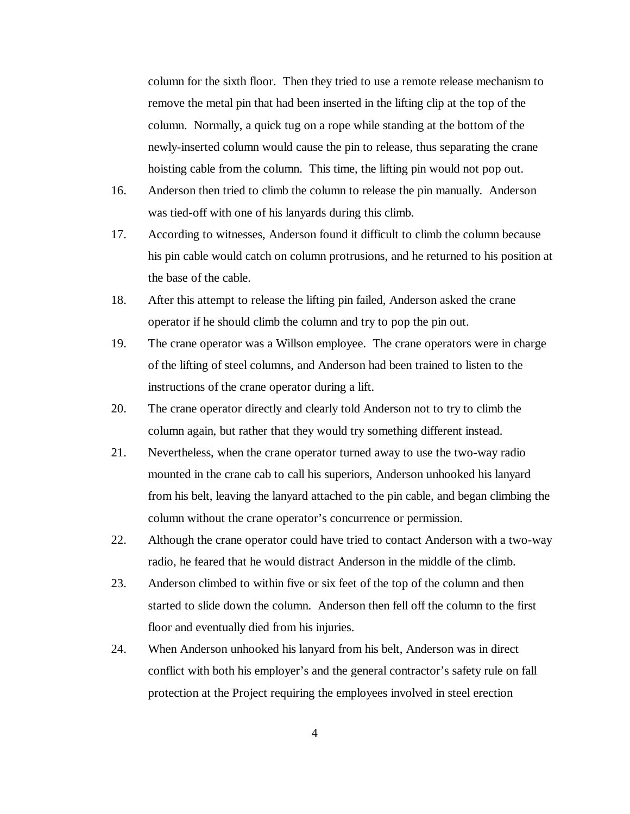column for the sixth floor. Then they tried to use a remote release mechanism to remove the metal pin that had been inserted in the lifting clip at the top of the column. Normally, a quick tug on a rope while standing at the bottom of the newly-inserted column would cause the pin to release, thus separating the crane hoisting cable from the column. This time, the lifting pin would not pop out.

- 16. Anderson then tried to climb the column to release the pin manually. Anderson was tied-off with one of his lanyards during this climb.
- 17. According to witnesses, Anderson found it difficult to climb the column because his pin cable would catch on column protrusions, and he returned to his position at the base of the cable.
- 18. After this attempt to release the lifting pin failed, Anderson asked the crane operator if he should climb the column and try to pop the pin out.
- 19. The crane operator was a Willson employee. The crane operators were in charge of the lifting of steel columns, and Anderson had been trained to listen to the instructions of the crane operator during a lift.
- 20. The crane operator directly and clearly told Anderson not to try to climb the column again, but rather that they would try something different instead.
- 21. Nevertheless, when the crane operator turned away to use the two-way radio mounted in the crane cab to call his superiors, Anderson unhooked his lanyard from his belt, leaving the lanyard attached to the pin cable, and began climbing the column without the crane operator's concurrence or permission.
- 22. Although the crane operator could have tried to contact Anderson with a two-way radio, he feared that he would distract Anderson in the middle of the climb.
- 23. Anderson climbed to within five or six feet of the top of the column and then started to slide down the column. Anderson then fell off the column to the first floor and eventually died from his injuries.
- 24. When Anderson unhooked his lanyard from his belt, Anderson was in direct conflict with both his employer's and the general contractor's safety rule on fall protection at the Project requiring the employees involved in steel erection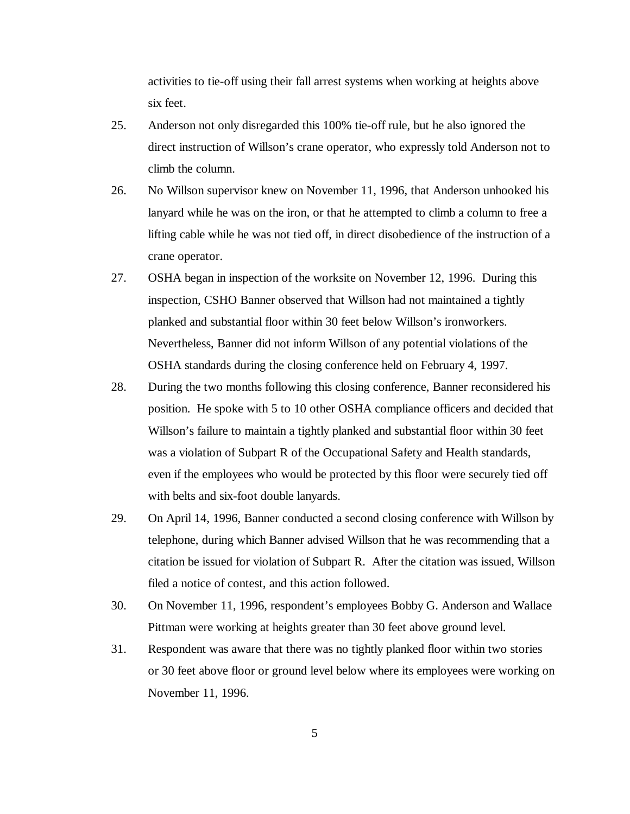activities to tie-off using their fall arrest systems when working at heights above six feet.

- 25. Anderson not only disregarded this 100% tie-off rule, but he also ignored the direct instruction of Willson's crane operator, who expressly told Anderson not to climb the column.
- 26. No Willson supervisor knew on November 11, 1996, that Anderson unhooked his lanyard while he was on the iron, or that he attempted to climb a column to free a lifting cable while he was not tied off, in direct disobedience of the instruction of a crane operator.
- 27. OSHA began in inspection of the worksite on November 12, 1996. During this inspection, CSHO Banner observed that Willson had not maintained a tightly planked and substantial floor within 30 feet below Willson's ironworkers. Nevertheless, Banner did not inform Willson of any potential violations of the OSHA standards during the closing conference held on February 4, 1997.
- 28. During the two months following this closing conference, Banner reconsidered his position. He spoke with 5 to 10 other OSHA compliance officers and decided that Willson's failure to maintain a tightly planked and substantial floor within 30 feet was a violation of Subpart R of the Occupational Safety and Health standards, even if the employees who would be protected by this floor were securely tied off with belts and six-foot double lanyards.
- 29. On April 14, 1996, Banner conducted a second closing conference with Willson by telephone, during which Banner advised Willson that he was recommending that a citation be issued for violation of Subpart R. After the citation was issued, Willson filed a notice of contest, and this action followed.
- 30. On November 11, 1996, respondent's employees Bobby G. Anderson and Wallace Pittman were working at heights greater than 30 feet above ground level.
- 31. Respondent was aware that there was no tightly planked floor within two stories or 30 feet above floor or ground level below where its employees were working on November 11, 1996.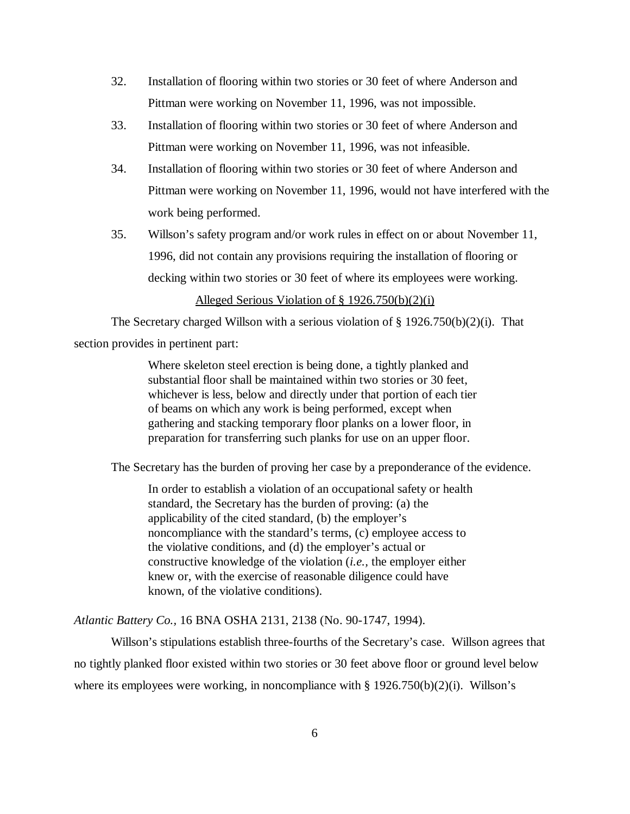- 32. Installation of flooring within two stories or 30 feet of where Anderson and Pittman were working on November 11, 1996, was not impossible.
- 33. Installation of flooring within two stories or 30 feet of where Anderson and Pittman were working on November 11, 1996, was not infeasible.
- 34. Installation of flooring within two stories or 30 feet of where Anderson and Pittman were working on November 11, 1996, would not have interfered with the work being performed.
- 35. Willson's safety program and/or work rules in effect on or about November 11, 1996, did not contain any provisions requiring the installation of flooring or decking within two stories or 30 feet of where its employees were working.

# Alleged Serious Violation of § 1926.750(b)(2)(i)

The Secretary charged Willson with a serious violation of § 1926.750(b)(2)(i). That

section provides in pertinent part:

Where skeleton steel erection is being done, a tightly planked and substantial floor shall be maintained within two stories or 30 feet, whichever is less, below and directly under that portion of each tier of beams on which any work is being performed, except when gathering and stacking temporary floor planks on a lower floor, in preparation for transferring such planks for use on an upper floor.

The Secretary has the burden of proving her case by a preponderance of the evidence.

In order to establish a violation of an occupational safety or health standard, the Secretary has the burden of proving: (a) the applicability of the cited standard, (b) the employer's noncompliance with the standard's terms, (c) employee access to the violative conditions, and (d) the employer's actual or constructive knowledge of the violation (*i.e.,* the employer either knew or, with the exercise of reasonable diligence could have known, of the violative conditions).

*Atlantic Battery Co.,* 16 BNA OSHA 2131, 2138 (No. 90-1747, 1994).

Willson's stipulations establish three-fourths of the Secretary's case. Willson agrees that no tightly planked floor existed within two stories or 30 feet above floor or ground level below where its employees were working, in noncompliance with  $\S 1926.750(b)(2)(i)$ . Willson's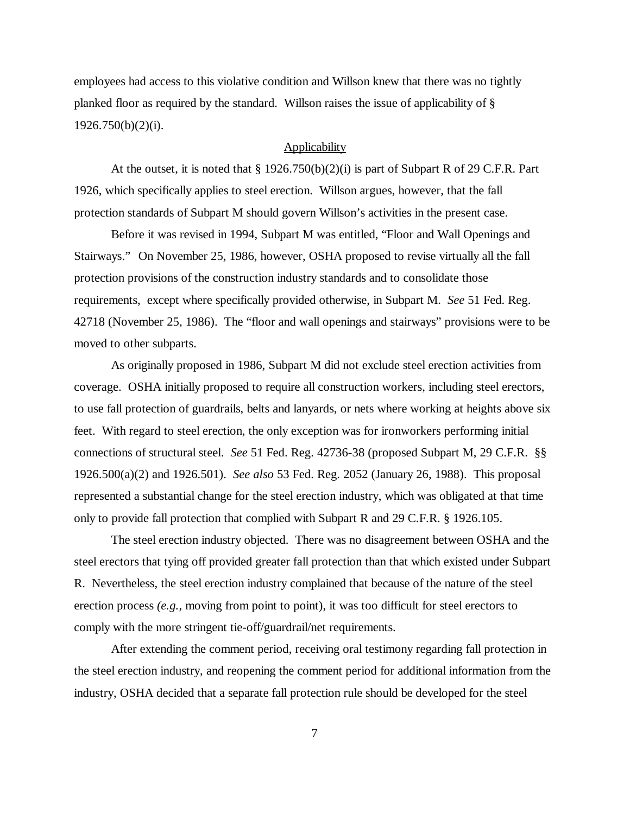employees had access to this violative condition and Willson knew that there was no tightly planked floor as required by the standard. Willson raises the issue of applicability of § 1926.750(b)(2)(i).

## **Applicability**

At the outset, it is noted that  $\S 1926.750(b)(2)(i)$  is part of Subpart R of 29 C.F.R. Part 1926, which specifically applies to steel erection. Willson argues, however, that the fall protection standards of Subpart M should govern Willson's activities in the present case.

Before it was revised in 1994, Subpart M was entitled, "Floor and Wall Openings and Stairways." On November 25, 1986, however, OSHA proposed to revise virtually all the fall protection provisions of the construction industry standards and to consolidate those requirements, except where specifically provided otherwise, in Subpart M. *See* 51 Fed. Reg. 42718 (November 25, 1986). The "floor and wall openings and stairways" provisions were to be moved to other subparts.

As originally proposed in 1986, Subpart M did not exclude steel erection activities from coverage. OSHA initially proposed to require all construction workers, including steel erectors, to use fall protection of guardrails, belts and lanyards, or nets where working at heights above six feet. With regard to steel erection, the only exception was for ironworkers performing initial connections of structural steel. *See* 51 Fed. Reg. 42736-38 (proposed Subpart M, 29 C.F.R. §§ 1926.500(a)(2) and 1926.501). *See also* 53 Fed. Reg. 2052 (January 26, 1988). This proposal represented a substantial change for the steel erection industry, which was obligated at that time only to provide fall protection that complied with Subpart R and 29 C.F.R. § 1926.105.

The steel erection industry objected. There was no disagreement between OSHA and the steel erectors that tying off provided greater fall protection than that which existed under Subpart R. Nevertheless, the steel erection industry complained that because of the nature of the steel erection process *(e.g.*, moving from point to point), it was too difficult for steel erectors to comply with the more stringent tie-off/guardrail/net requirements.

After extending the comment period, receiving oral testimony regarding fall protection in the steel erection industry, and reopening the comment period for additional information from the industry, OSHA decided that a separate fall protection rule should be developed for the steel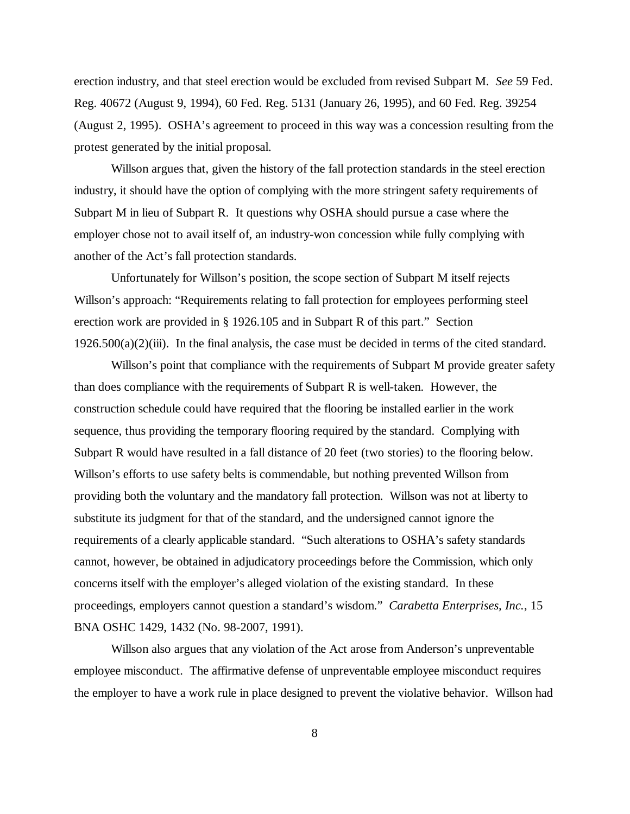erection industry, and that steel erection would be excluded from revised Subpart M. *See* 59 Fed. Reg. 40672 (August 9, 1994), 60 Fed. Reg. 5131 (January 26, 1995), and 60 Fed. Reg. 39254 (August 2, 1995). OSHA's agreement to proceed in this way was a concession resulting from the protest generated by the initial proposal.

Willson argues that, given the history of the fall protection standards in the steel erection industry, it should have the option of complying with the more stringent safety requirements of Subpart M in lieu of Subpart R. It questions why OSHA should pursue a case where the employer chose not to avail itself of, an industry-won concession while fully complying with another of the Act's fall protection standards.

Unfortunately for Willson's position, the scope section of Subpart M itself rejects Willson's approach: "Requirements relating to fall protection for employees performing steel erection work are provided in § 1926.105 and in Subpart R of this part." Section  $1926.500(a)(2)$ (iii). In the final analysis, the case must be decided in terms of the cited standard.

Willson's point that compliance with the requirements of Subpart M provide greater safety than does compliance with the requirements of Subpart R is well-taken. However, the construction schedule could have required that the flooring be installed earlier in the work sequence, thus providing the temporary flooring required by the standard. Complying with Subpart R would have resulted in a fall distance of 20 feet (two stories) to the flooring below. Willson's efforts to use safety belts is commendable, but nothing prevented Willson from providing both the voluntary and the mandatory fall protection. Willson was not at liberty to substitute its judgment for that of the standard, and the undersigned cannot ignore the requirements of a clearly applicable standard. "Such alterations to OSHA's safety standards cannot, however, be obtained in adjudicatory proceedings before the Commission, which only concerns itself with the employer's alleged violation of the existing standard. In these proceedings, employers cannot question a standard's wisdom." *Carabetta Enterprises, Inc.*, 15 BNA OSHC 1429, 1432 (No. 98-2007, 1991).

Willson also argues that any violation of the Act arose from Anderson's unpreventable employee misconduct. The affirmative defense of unpreventable employee misconduct requires the employer to have a work rule in place designed to prevent the violative behavior. Willson had

8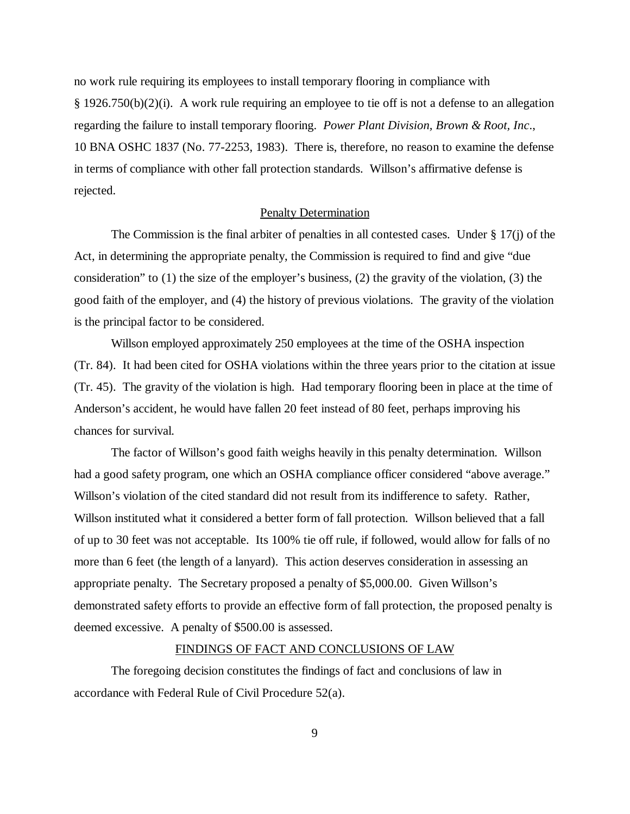no work rule requiring its employees to install temporary flooring in compliance with § 1926.750(b)(2)(i). A work rule requiring an employee to tie off is not a defense to an allegation regarding the failure to install temporary flooring. *Power Plant Division, Brown & Root, Inc*., 10 BNA OSHC 1837 (No. 77-2253, 1983). There is, therefore, no reason to examine the defense in terms of compliance with other fall protection standards. Willson's affirmative defense is rejected.

### Penalty Determination

The Commission is the final arbiter of penalties in all contested cases. Under  $\S 17(i)$  of the Act, in determining the appropriate penalty, the Commission is required to find and give "due consideration" to (1) the size of the employer's business, (2) the gravity of the violation, (3) the good faith of the employer, and (4) the history of previous violations. The gravity of the violation is the principal factor to be considered.

Willson employed approximately 250 employees at the time of the OSHA inspection (Tr. 84). It had been cited for OSHA violations within the three years prior to the citation at issue (Tr. 45). The gravity of the violation is high. Had temporary flooring been in place at the time of Anderson's accident, he would have fallen 20 feet instead of 80 feet, perhaps improving his chances for survival.

The factor of Willson's good faith weighs heavily in this penalty determination. Willson had a good safety program, one which an OSHA compliance officer considered "above average." Willson's violation of the cited standard did not result from its indifference to safety. Rather, Willson instituted what it considered a better form of fall protection. Willson believed that a fall of up to 30 feet was not acceptable. Its 100% tie off rule, if followed, would allow for falls of no more than 6 feet (the length of a lanyard). This action deserves consideration in assessing an appropriate penalty. The Secretary proposed a penalty of \$5,000.00. Given Willson's demonstrated safety efforts to provide an effective form of fall protection, the proposed penalty is deemed excessive. A penalty of \$500.00 is assessed.

#### FINDINGS OF FACT AND CONCLUSIONS OF LAW

The foregoing decision constitutes the findings of fact and conclusions of law in accordance with Federal Rule of Civil Procedure 52(a).